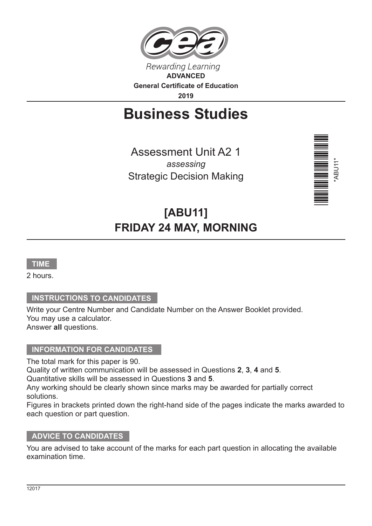

# **Business Studies**

Assessment Unit A2 1 *assessing* Strategic Decision Making



## **[ABU11] FRIDAY 24 MAY, MORNING**



2 hours.

#### **INSTRUCTIONS TO CANDIDATES**

Write your Centre Number and Candidate Number on the Answer Booklet provided. You may use a calculator. Answer **all** questions.

#### **INFORMATION FOR CANDIDATES**

The total mark for this paper is 90.

Quality of written communication will be assessed in Questions **2**, **3**, **4** and **5**. Quantitative skills will be assessed in Questions **3** and **5**.

Any working should be clearly shown since marks may be awarded for partially correct solutions.

Figures in brackets printed down the right-hand side of the pages indicate the marks awarded to each question or part question.

#### **ADVICE TO CANDIDATES**

You are advised to take account of the marks for each part question in allocating the available examination time.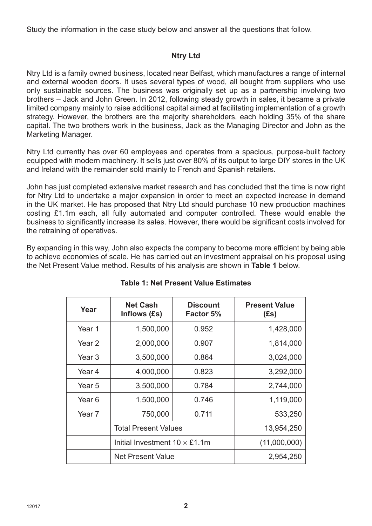Study the information in the case study below and answer all the questions that follow.

#### **Ntry Ltd**

Ntry Ltd is a family owned business, located near Belfast, which manufactures a range of internal and external wooden doors. It uses several types of wood, all bought from suppliers who use only sustainable sources. The business was originally set up as a partnership involving two brothers – Jack and John Green. In 2012, following steady growth in sales, it became a private limited company mainly to raise additional capital aimed at facilitating implementation of a growth strategy. However, the brothers are the majority shareholders, each holding 35% of the share capital. The two brothers work in the business, Jack as the Managing Director and John as the Marketing Manager.

Ntry Ltd currently has over 60 employees and operates from a spacious, purpose-built factory equipped with modern machinery. It sells just over 80% of its output to large DIY stores in the UK and Ireland with the remainder sold mainly to French and Spanish retailers.

John has just completed extensive market research and has concluded that the time is now right for Ntry Ltd to undertake a major expansion in order to meet an expected increase in demand in the UK market. He has proposed that Ntry Ltd should purchase 10 new production machines costing £1.1m each, all fully automated and computer controlled. These would enable the business to significantly increase its sales. However, there would be significant costs involved for the retraining of operatives.

By expanding in this way, John also expects the company to become more efficient by being able to achieve economies of scale. He has carried out an investment appraisal on his proposal using the Net Present Value method. Results of his analysis are shown in **Table 1** below.

| Year              | <b>Net Cash</b><br>Inflows (£s)      | <b>Discount</b><br>Factor 5% | <b>Present Value</b><br>(Es) |
|-------------------|--------------------------------------|------------------------------|------------------------------|
| Year 1            | 1,500,000                            | 0.952                        | 1,428,000                    |
| Year 2            | 2,000,000                            | 0.907                        | 1,814,000                    |
| Year 3            | 3,500,000                            | 0.864                        | 3,024,000                    |
| Year 4            | 4,000,000                            | 0.823                        | 3,292,000                    |
| Year <sub>5</sub> | 3,500,000                            | 0.784                        | 2,744,000                    |
| Year 6            | 1,500,000                            | 0.746                        | 1,119,000                    |
| Year <sub>7</sub> | 750,000                              | 0.711                        | 533,250                      |
|                   | <b>Total Present Values</b>          |                              | 13,954,250                   |
|                   | Initial Investment $10 \times$ £1.1m |                              | (11,000,000)                 |
|                   | <b>Net Present Value</b>             |                              | 2,954,250                    |

#### **Table 1: Net Present Value Estimates**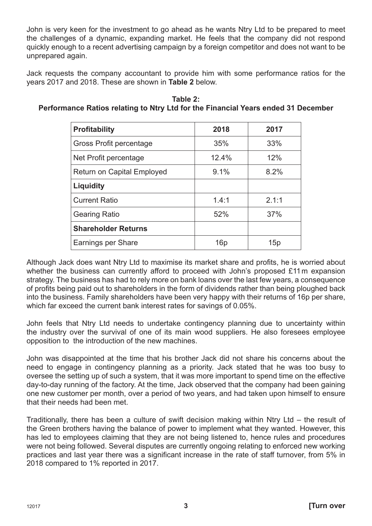John is very keen for the investment to go ahead as he wants Ntry Ltd to be prepared to meet the challenges of a dynamic, expanding market. He feels that the company did not respond quickly enough to a recent advertising campaign by a foreign competitor and does not want to be unprepared again.

Jack requests the company accountant to provide him with some performance ratios for the years 2017 and 2018. These are shown in **Table 2** below.

| <b>Profitability</b>              | 2018  | 2017  |
|-----------------------------------|-------|-------|
| Gross Profit percentage           | 35%   | 33%   |
| Net Profit percentage             | 12.4% | 12%   |
| <b>Return on Capital Employed</b> | 9.1%  | 8.2%  |
| Liquidity                         |       |       |
| <b>Current Ratio</b>              | 1.4:1 | 2.1:1 |
| <b>Gearing Ratio</b>              | 52%   | 37%   |
| <b>Shareholder Returns</b>        |       |       |
| Earnings per Share                | 16p   | 15p   |

**Table 2: Performance Ratios relating to Ntry Ltd for the Financial Years ended 31 December**

Although Jack does want Ntry Ltd to maximise its market share and profits, he is worried about whether the business can currently afford to proceed with John's proposed £11 m expansion strategy. The business has had to rely more on bank loans over the last few years, a consequence of profits being paid out to shareholders in the form of dividends rather than being ploughed back into the business. Family shareholders have been very happy with their returns of 16p per share, which far exceed the current bank interest rates for savings of 0.05%.

John feels that Ntry Ltd needs to undertake contingency planning due to uncertainty within the industry over the survival of one of its main wood suppliers. He also foresees employee opposition to the introduction of the new machines.

John was disappointed at the time that his brother Jack did not share his concerns about the need to engage in contingency planning as a priority. Jack stated that he was too busy to oversee the setting up of such a system, that it was more important to spend time on the effective day-to-day running of the factory. At the time, Jack observed that the company had been gaining one new customer per month, over a period of two years, and had taken upon himself to ensure that their needs had been met.

Traditionally, there has been a culture of swift decision making within Ntry Ltd – the result of the Green brothers having the balance of power to implement what they wanted. However, this has led to employees claiming that they are not being listened to, hence rules and procedures were not being followed. Several disputes are currently ongoing relating to enforced new working practices and last year there was a significant increase in the rate of staff turnover, from 5% in 2018 compared to 1% reported in 2017.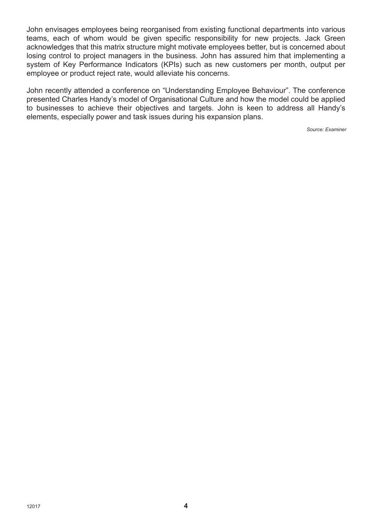John envisages employees being reorganised from existing functional departments into various teams, each of whom would be given specific responsibility for new projects. Jack Green acknowledges that this matrix structure might motivate employees better, but is concerned about losing control to project managers in the business. John has assured him that implementing a system of Key Performance Indicators (KPIs) such as new customers per month, output per employee or product reject rate, would alleviate his concerns.

John recently attended a conference on "Understanding Employee Behaviour". The conference presented Charles Handy's model of Organisational Culture and how the model could be applied to businesses to achieve their objectives and targets. John is keen to address all Handy's elements, especially power and task issues during his expansion plans.

*Source: Examiner*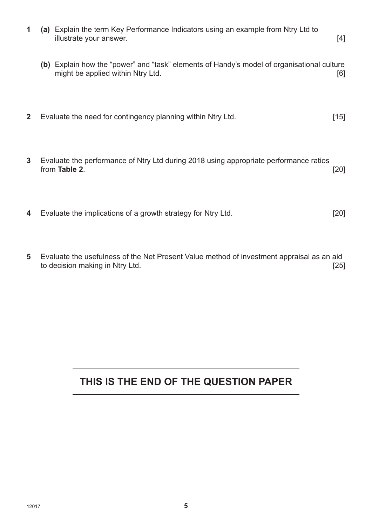- **1 (a)** Explain the term Key Performance Indicators using an example from Ntry Ltd to illustrate your answer. [4]
	- **(b)** Explain how the "power" and "task" elements of Handy's model of organisational culture might be applied within Ntry Ltd. **Example 10** and  $\blacksquare$  [6]
- **2** Evaluate the need for contingency planning within Ntry Ltd. [15]
- **3** Evaluate the performance of Ntry Ltd during 2018 using appropriate performance ratios from **Table 2**. [20]
- **4** Evaluate the implications of a growth strategy for Ntry Ltd. [20]
- **5** Evaluate the usefulness of the Net Present Value method of investment appraisal as an aid to decision making in Ntry Ltd. *I* **Example 25 I Example 25 I EXAMPLE 25 I EXAMPLE 25 I EXAMPLE 25 I**

### **THIS IS THE END OF THE QUESTION PAPER**